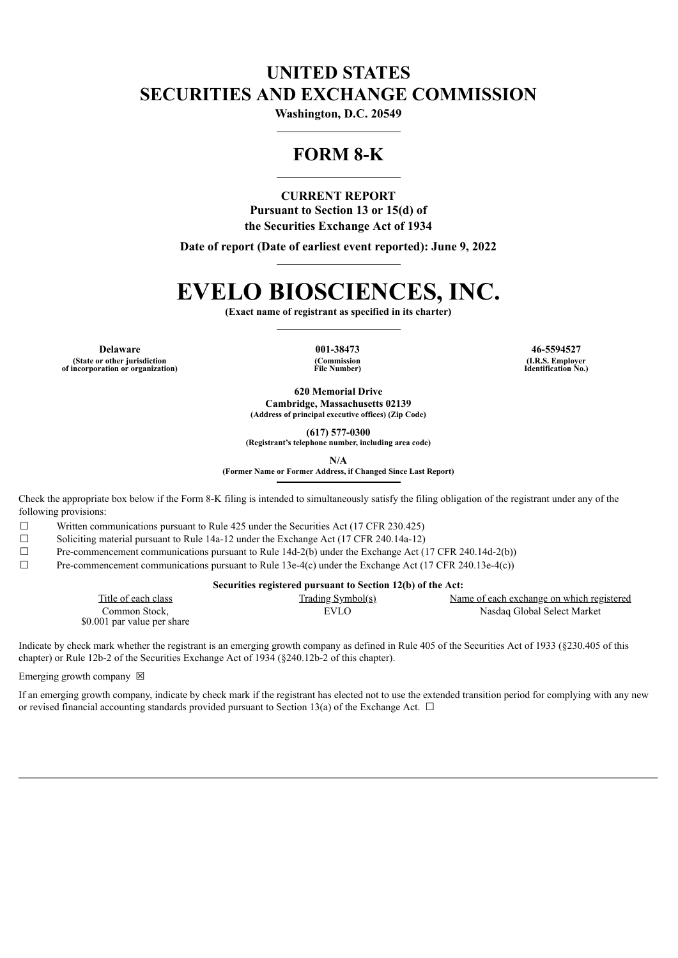# **UNITED STATES SECURITIES AND EXCHANGE COMMISSION**

**Washington, D.C. 20549**

## **FORM 8-K**

**CURRENT REPORT**

**Pursuant to Section 13 or 15(d) of the Securities Exchange Act of 1934**

**Date of report (Date of earliest event reported): June 9, 2022**

# **EVELO BIOSCIENCES, INC.**

**(Exact name of registrant as specified in its charter)**

**Delaware 001-38473 46-5594527 (State or other jurisdiction of incorporation or organization)**

**(Commission File Number)**

**(I.R.S. Employer Identification No.)**

**620 Memorial Drive Cambridge, Massachusetts 02139 (Address of principal executive offices) (Zip Code)**

**(617) 577-0300**

**(Registrant's telephone number, including area code)**

**N/A**

**(Former Name or Former Address, if Changed Since Last Report)**

Check the appropriate box below if the Form 8-K filing is intended to simultaneously satisfy the filing obligation of the registrant under any of the following provisions:

 $\Box$  Written communications pursuant to Rule 425 under the Securities Act (17 CFR 230.425)

☐ Soliciting material pursuant to Rule 14a-12 under the Exchange Act (17 CFR 240.14a-12)

 $\Box$  Pre-commencement communications pursuant to Rule 14d-2(b) under the Exchange Act (17 CFR 240.14d-2(b))

 $\Box$  Pre-commencement communications pursuant to Rule 13e-4(c) under the Exchange Act (17 CFR 240.13e-4(c))

| Securities registered pursuant to Section 12(b) of the Act: |                          |                                           |  |  |
|-------------------------------------------------------------|--------------------------|-------------------------------------------|--|--|
| Title of each class                                         | <u>Trading Symbol(s)</u> | Name of each exchange on which registered |  |  |
| Common Stock.                                               | EVLO                     | Nasdag Global Select Market               |  |  |

Indicate by check mark whether the registrant is an emerging growth company as defined in Rule 405 of the Securities Act of 1933 (§230.405 of this chapter) or Rule 12b-2 of the Securities Exchange Act of 1934 (§240.12b-2 of this chapter).

Emerging growth company  $\boxtimes$ 

\$0.001 par value per share

If an emerging growth company, indicate by check mark if the registrant has elected not to use the extended transition period for complying with any new or revised financial accounting standards provided pursuant to Section 13(a) of the Exchange Act.  $\Box$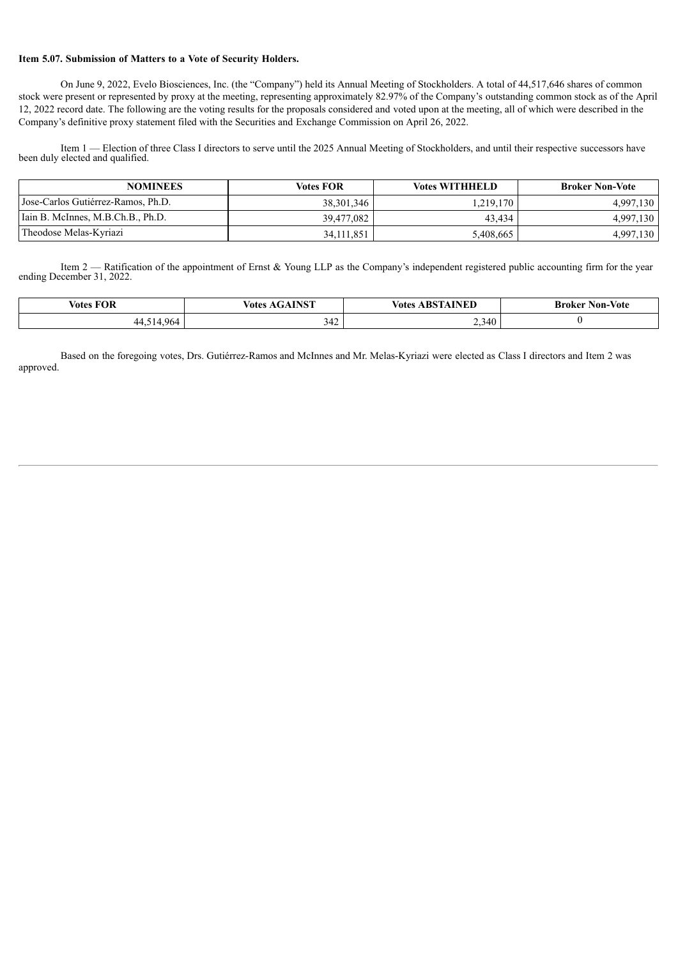#### **Item 5.07. Submission of Matters to a Vote of Security Holders.**

On June 9, 2022, Evelo Biosciences, Inc. (the "Company") held its Annual Meeting of Stockholders. A total of 44,517,646 shares of common stock were present or represented by proxy at the meeting, representing approximately 82.97% of the Company's outstanding common stock as of the April 12, 2022 record date. The following are the voting results for the proposals considered and voted upon at the meeting, all of which were described in the Company's definitive proxy statement filed with the Securities and Exchange Commission on April 26, 2022.

Item 1 — Election of three Class I directors to serve until the 2025 Annual Meeting of Stockholders, and until their respective successors have been duly elected and qualified.

| <b>NOMINEES</b>                    | <b>Votes FOR</b> | <b>Votes WITHHELD</b> | <b>Broker Non-Vote</b> |
|------------------------------------|------------------|-----------------------|------------------------|
| Jose-Carlos Gutiérrez-Ramos, Ph.D. | 38, 301, 346     | . 219,170             | 4,997,130              |
| Iain B. McInnes, M.B.Ch.B., Ph.D.  | 39.477.082       | 43.434                | 4,997,130              |
| Theodose Melas-Kyriazi             | 34, 111, 851     | 5,408,665             | 4,997,130              |

Item 2 — Ratification of the appointment of Ernst & Young LLP as the Company's independent registered public accounting firm for the year ending December 31, 2022.

| <b>Votes FOR</b> | <b>INCT</b><br>Votes | AINED<br><b>Votes</b><br>A RCT<br>. | Non-Vote<br>Broker |
|------------------|----------------------|-------------------------------------|--------------------|
| 06<br>44<br>.    | 342                  | 2.340<br>سمد                        |                    |

Based on the foregoing votes, Drs. Gutiérrez-Ramos and McInnes and Mr. Melas-Kyriazi were elected as Class I directors and Item 2 was approved.